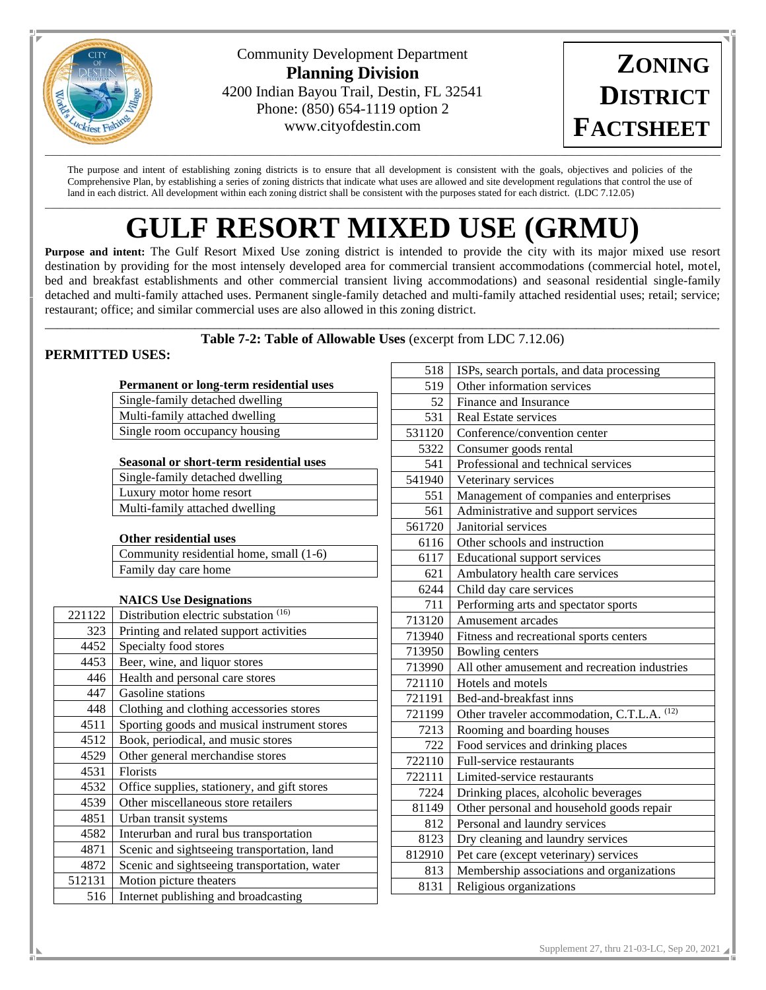

Community Development Department **Planning Division** 4200 Indian Bayou Trail, Destin, FL 32541 Phone: (850) 654-1119 option 2 www.cityofdestin.com

**ZONING DISTRICT FACTSHEET**

The purpose and intent of establishing zoning districts is to ensure that all development is consistent with the goals, objectives and policies of the Comprehensive Plan, by establishing a series of zoning districts that indicate what uses are allowed and site development regulations that control the use of land in each district. All development within each zoning district shall be consistent with the purposes stated for each district. (LDC 7.12.05)  $\Box$ 

# **GULF RESORT MIXED USE (GRMU)**

**Purpose and intent:** The Gulf Resort Mixed Use zoning district is intended to provide the city with its major mixed use resort destination by providing for the most intensely developed area for commercial transient accommodations (commercial hotel, motel, bed and breakfast establishments and other commercial transient living accommodations) and seasonal residential single-family detached and multi-family attached uses. Permanent single-family detached and multi-family attached residential uses; retail; service; restaurant; office; and similar commercial uses are also allowed in this zoning district.

#### \_\_\_\_\_\_\_\_\_\_\_\_\_\_\_\_\_\_\_\_\_\_\_\_\_\_\_\_\_\_\_\_\_\_\_\_\_\_\_\_\_\_\_\_\_\_\_\_\_\_\_\_\_\_\_\_\_\_\_\_\_\_\_\_\_\_\_\_\_\_\_\_\_\_\_\_\_\_\_\_\_\_\_\_\_\_\_\_\_\_\_\_\_\_\_\_\_\_\_\_\_\_\_\_\_\_\_\_ **Table 7-2: Table of Allowable Uses** (excerpt from LDC 7.12.06)

# **PERMITTED USES:**

|        | Permanent or long-term residential uses        |  |  |  |  |  |  |  |
|--------|------------------------------------------------|--|--|--|--|--|--|--|
|        | Single-family detached dwelling                |  |  |  |  |  |  |  |
|        | Multi-family attached dwelling                 |  |  |  |  |  |  |  |
|        | Single room occupancy housing                  |  |  |  |  |  |  |  |
|        |                                                |  |  |  |  |  |  |  |
|        | <b>Seasonal or short-term residential uses</b> |  |  |  |  |  |  |  |
|        | Single-family detached dwelling                |  |  |  |  |  |  |  |
|        | Luxury motor home resort                       |  |  |  |  |  |  |  |
|        | Multi-family attached dwelling                 |  |  |  |  |  |  |  |
|        |                                                |  |  |  |  |  |  |  |
|        | <b>Other residential uses</b>                  |  |  |  |  |  |  |  |
|        | Community residential home, small (1-6)        |  |  |  |  |  |  |  |
|        | Family day care home                           |  |  |  |  |  |  |  |
|        |                                                |  |  |  |  |  |  |  |
|        | <b>NAICS Use Designations</b>                  |  |  |  |  |  |  |  |
| 221122 | Distribution electric substation (16)          |  |  |  |  |  |  |  |
| 323    | Printing and related support activities        |  |  |  |  |  |  |  |
| 4452   | Specialty food stores                          |  |  |  |  |  |  |  |
| 4453   | Beer, wine, and liquor stores                  |  |  |  |  |  |  |  |
| 446    | Health and personal care stores                |  |  |  |  |  |  |  |
| 447    | Gasoline stations                              |  |  |  |  |  |  |  |
| 448    | Clothing and clothing accessories stores       |  |  |  |  |  |  |  |
| 4511   | Sporting goods and musical instrument stores   |  |  |  |  |  |  |  |
| 4512   | Book, periodical, and music stores             |  |  |  |  |  |  |  |
| 4529   | Other general merchandise stores               |  |  |  |  |  |  |  |
| 4531   | <b>Florists</b>                                |  |  |  |  |  |  |  |
| 4532   | Office supplies, stationery, and gift stores   |  |  |  |  |  |  |  |
| 4539   | Other miscellaneous store retailers            |  |  |  |  |  |  |  |
| 4851   | Urban transit systems                          |  |  |  |  |  |  |  |
| 4582   | Interurban and rural bus transportation        |  |  |  |  |  |  |  |
| 4871   | Scenic and sightseeing transportation, land    |  |  |  |  |  |  |  |
| 4872   | Scenic and sightseeing transportation, water   |  |  |  |  |  |  |  |
| 512131 | Motion picture theaters                        |  |  |  |  |  |  |  |
| 516    | Internet publishing and broadcasting           |  |  |  |  |  |  |  |

| 518    | ISPs, search portals, and data processing     |
|--------|-----------------------------------------------|
| 519    | Other information services                    |
| 52     | Finance and Insurance                         |
| 531    | <b>Real Estate services</b>                   |
| 531120 | Conference/convention center                  |
| 5322   | Consumer goods rental                         |
| 541    | Professional and technical services           |
| 541940 | Veterinary services                           |
| 551    | Management of companies and enterprises       |
| 561    | Administrative and support services           |
| 561720 | Janitorial services                           |
| 6116   | Other schools and instruction                 |
| 6117   | <b>Educational support services</b>           |
| 621    | Ambulatory health care services               |
| 6244   | Child day care services                       |
| 711    | Performing arts and spectator sports          |
| 713120 | Amusement arcades                             |
| 713940 | Fitness and recreational sports centers       |
| 713950 | Bowling centers                               |
| 713990 | All other amusement and recreation industries |
| 721110 | Hotels and motels                             |
| 721191 | Bed-and-breakfast inns                        |
| 721199 | Other traveler accommodation, C.T.L.A. (12)   |
| 7213   | Rooming and boarding houses                   |
| 722    | Food services and drinking places             |
| 722110 | Full-service restaurants                      |
| 722111 | Limited-service restaurants                   |
| 7224   | Drinking places, alcoholic beverages          |
| 81149  | Other personal and household goods repair     |
| 812    | Personal and laundry services                 |
| 8123   | Dry cleaning and laundry services             |
| 812910 | Pet care (except veterinary) services         |
| 813    | Membership associations and organizations     |
| 8131   | Religious organizations                       |